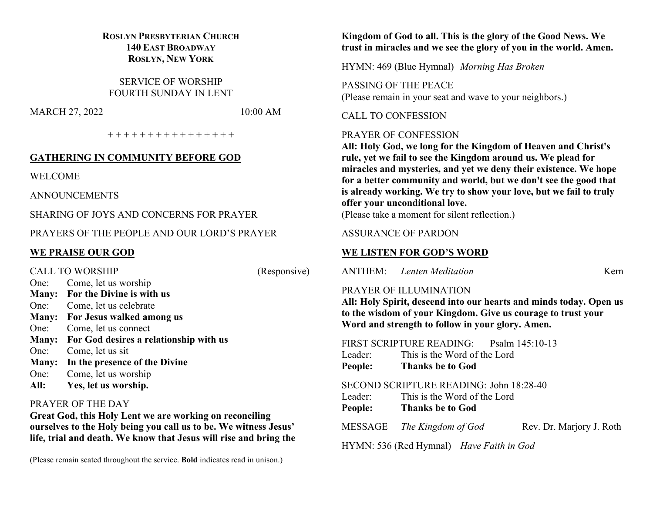# **ROSLYN PRESBYTERIAN CHURCH 140 EAST BROADWAY ROSLYN, NEW YORK**

SERVICE OF WORSHIP FOURTH SUNDAY IN LENT

MARCH 27, 2022 10:00 AM

+ + + + + + + + + + + + + + + +

#### **GATHERING IN COMMUNITY BEFORE GOD**

WELCOME

ANNOUNCEMENTS

SHARING OF JOYS AND CONCERNS FOR PRAYER

PRAYERS OF THE PEOPLE AND OUR LORD'S PRAYER

# **WE PRAISE OUR GOD**

CALL TO WORSHIP (Responsive) One: Come, let us worship **Many: For the Divine is with us** One: Come, let us celebrate **Many: For Jesus walked among us** One: Come, let us connect **Many: For God desires a relationship with us** One: Come, let us sit **Many: In the presence of the Divine** One: Come, let us worship **All: Yes, let us worship.**

#### PRAYER OF THE DAY

**Great God, this Holy Lent we are working on reconciling ourselves to the Holy being you call us to be. We witness Jesus' life, trial and death. We know that Jesus will rise and bring the** 

(Please remain seated throughout the service. **Bold** indicates read in unison.)

#### **Kingdom of God to all. This is the glory of the Good News. We trust in miracles and we see the glory of you in the world. Amen.**

HYMN: 469 (Blue Hymnal) *Morning Has Broken*

PASSING OF THE PEACE (Please remain in your seat and wave to your neighbors.)

CALL TO CONFESSION

#### PRAYER OF CONFESSION

**All: Holy God, we long for the Kingdom of Heaven and Christ's rule, yet we fail to see the Kingdom around us. We plead for miracles and mysteries, and yet we deny their existence. We hope for a better community and world, but we don't see the good that is already working. We try to show your love, but we fail to truly offer your unconditional love.**

(Please take a moment for silent reflection.)

#### ASSURANCE OF PARDON

# **WE LISTEN FOR GOD'S WORD**

ANTHEM: *Lenten Meditation* Kern

# PRAYER OF ILLUMINATION

**All: Holy Spirit, descend into our hearts and minds today. Open us to the wisdom of your Kingdom. Give us courage to trust your Word and strength to follow in your glory. Amen.**

FIRST SCRIPTURE READING: Psalm 145:10-13

- Leader: This is the Word of the Lord
- **People: Thanks be to God**

## SECOND SCRIPTURE READING: John 18:28-40

- Leader: This is the Word of the Lord
- **People: Thanks be to God**

MESSAGE *The Kingdom of God* Rev. Dr. Marjory J. Roth

HYMN: 536 (Red Hymnal) *Have Faith in God*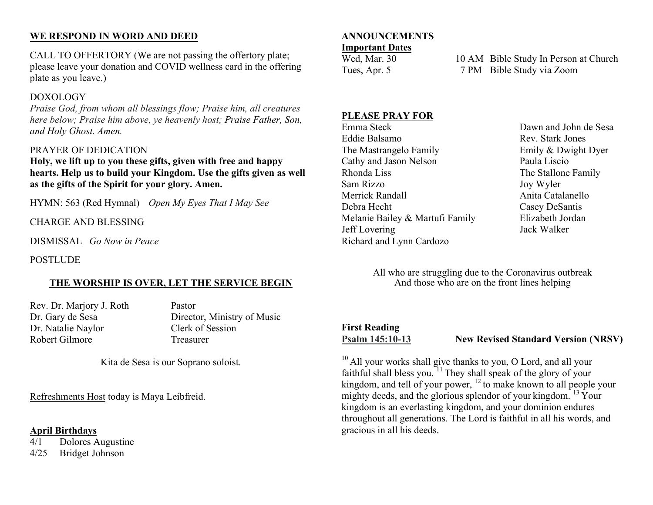# **WE RESPOND IN WORD AND DEED**

CALL TO OFFERTORY (We are not passing the offertory plate; please leave your donation and COVID wellness card in the offering plate as you leave.)

# DOXOLOGY

*Praise God, from whom all blessings flow; Praise him, all creatures here below; Praise him above, ye heavenly host; Praise Father, Son, and Holy Ghost. Amen.*

# PRAYER OF DEDICATION

**Holy, we lift up to you these gifts, given with free and happy hearts. Help us to build your Kingdom. Use the gifts given as well as the gifts of the Spirit for your glory. Amen.**

HYMN: 563 (Red Hymnal) *Open My Eyes That I May See*

CHARGE AND BLESSING

DISMISSAL *Go Now in Peace*

POSTLUDE

# **THE WORSHIP IS OVER, LET THE SERVICE BEGIN**

Rev. Dr. Marjory J. Roth Pastor Dr. Natalie Naylor Clerk of Session Robert Gilmore Treasurer

Dr. Gary de Sesa Director, Ministry of Music

Kita de Sesa is our Soprano soloist.

Refreshments Host today is Maya Leibfreid.

#### **April Birthdays**

4/1 Dolores Augustine 4/25 Bridget Johnson

# **ANNOUNCEMENTS**

# **Important Dates**

Wed, Mar. 30 10 AM Bible Study In Person at Church Tues, Apr. 5 7 PM Bible Study via Zoom

#### **PLEASE PRAY FOR**

Emma Steck Dawn and John de Sesa Eddie Balsamo Rev. Stark Jones The Mastrangelo Family Emily & Dwight Dyer Cathy and Jason Nelson Paula Liscio Rhonda Liss The Stallone Family Sam Rizzo Joy Wyler Merrick Randall **Anita Catalanello** Anita Catalanello Debra Hecht Casey DeSantis Melanie Bailey & Martufi Family Elizabeth Jordan Jeff Lovering Jack Walker Richard and Lynn Cardozo

All who are struggling due to the Coronavirus outbreak And those who are on the front lines helping

# **First Reading**

**Psalm 145:10-13 New Revised Standard Version (NRSV)**

 $10$  All your works shall give thanks to you, O Lord, and all your faithful shall bless you.<sup> $11$ </sup> They shall speak of the glory of your kingdom, and tell of your power,  $^{12}$  to make known to all people your mighty deeds, and the glorious splendor of your kingdom.<sup>13</sup> Your kingdom is an everlasting kingdom, and your dominion endures throughout all generations. The Lord is faithful in all his words, and gracious in all his deeds.